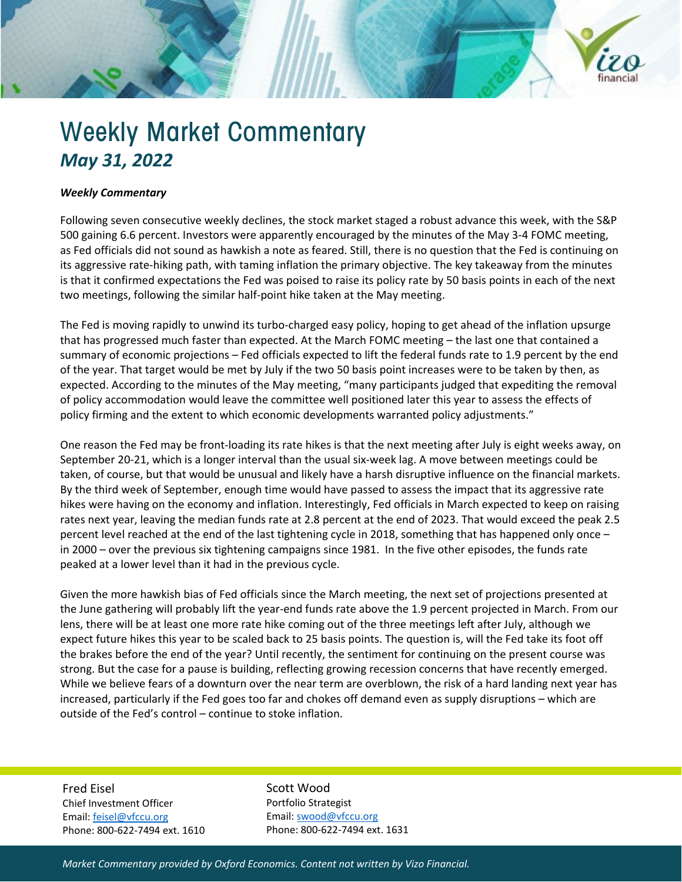

## Weekly Market Commentary *May 31, 2022*

## *Weekly Commentary*

Following seven consecutive weekly declines, the stock market staged a robust advance this week, with the S&P 500 gaining 6.6 percent. Investors were apparently encouraged by the minutes of the May 3-4 FOMC meeting, as Fed officials did not sound as hawkish a note as feared. Still, there is no question that the Fed is continuing on its aggressive rate-hiking path, with taming inflation the primary objective. The key takeaway from the minutes is that it confirmed expectations the Fed was poised to raise its policy rate by 50 basis points in each of the next two meetings, following the similar half-point hike taken at the May meeting.

The Fed is moving rapidly to unwind its turbo-charged easy policy, hoping to get ahead of the inflation upsurge that has progressed much faster than expected. At the March FOMC meeting – the last one that contained a summary of economic projections – Fed officials expected to lift the federal funds rate to 1.9 percent by the end of the year. That target would be met by July if the two 50 basis point increases were to be taken by then, as expected. According to the minutes of the May meeting, "many participants judged that expediting the removal of policy accommodation would leave the committee well positioned later this year to assess the effects of policy firming and the extent to which economic developments warranted policy adjustments."

One reason the Fed may be front-loading its rate hikes is that the next meeting after July is eight weeks away, on September 20-21, which is a longer interval than the usual six-week lag. A move between meetings could be taken, of course, but that would be unusual and likely have a harsh disruptive influence on the financial markets. By the third week of September, enough time would have passed to assess the impact that its aggressive rate hikes were having on the economy and inflation. Interestingly, Fed officials in March expected to keep on raising rates next year, leaving the median funds rate at 2.8 percent at the end of 2023. That would exceed the peak 2.5 percent level reached at the end of the last tightening cycle in 2018, something that has happened only once – in 2000 – over the previous six tightening campaigns since 1981. In the five other episodes, the funds rate peaked at a lower level than it had in the previous cycle.

Given the more hawkish bias of Fed officials since the March meeting, the next set of projections presented at the June gathering will probably lift the year-end funds rate above the 1.9 percent projected in March. From our lens, there will be at least one more rate hike coming out of the three meetings left after July, although we expect future hikes this year to be scaled back to 25 basis points. The question is, will the Fed take its foot off the brakes before the end of the year? Until recently, the sentiment for continuing on the present course was strong. But the case for a pause is building, reflecting growing recession concerns that have recently emerged. While we believe fears of a downturn over the near term are overblown, the risk of a hard landing next year has increased, particularly if the Fed goes too far and chokes off demand even as supply disruptions – which are outside of the Fed's control – continue to stoke inflation.

Fred Eisel Chief Investment Officer Email[: feisel@vfccu.org](mailto:feisel@vfccu.org) Phone: 800-622-7494 ext. 1610 Scott Wood Portfolio Strategist Email[: swood@vfccu.org](mailto:swood@vfccu.org) Phone: 800-622-7494 ext. 1631

*Market Commentary provided by Oxford Economics. Content not written by Vizo Financial.*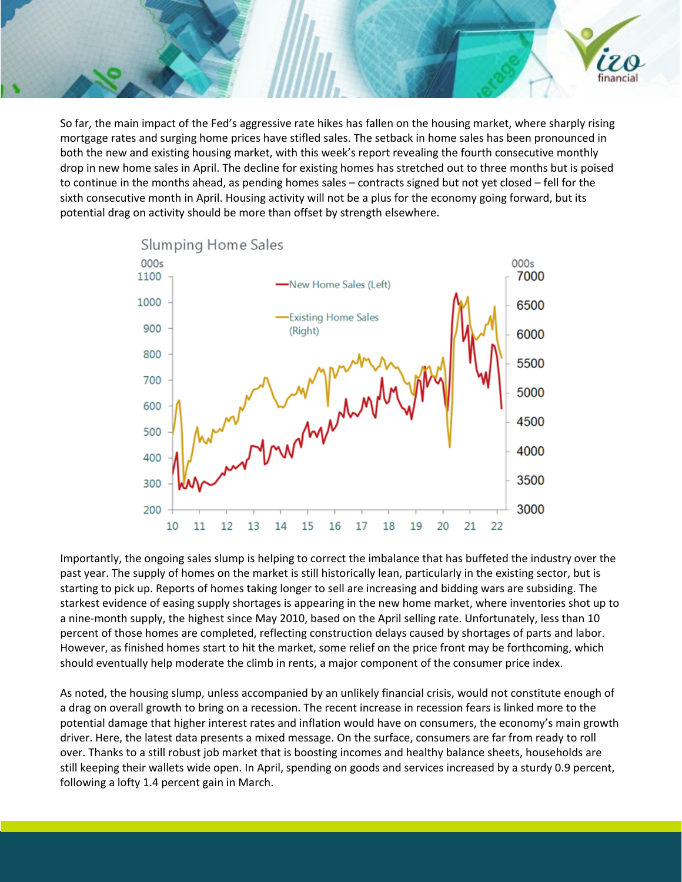So far, the main impact of the Fed's aggressive rate hikes has fallen on the housing market, where sharply rising mortgage rates and surging home prices have stifled sales. The setback in home sales has been pronounced in both the new and existing housing market, with this week's report revealing the fourth consecutive monthly drop in new home sales in April. The decline for existing homes has stretched out to three months but is poised to continue in the months ahead, as pending homes sales – contracts signed but not yet closed – fell for the sixth consecutive month in April. Housing activity will not be a plus for the economy going forward, but its potential drag on activity should be more than offset by strength elsewhere.

financia



Importantly, the ongoing sales slump is helping to correct the imbalance that has buffeted the industry over the past year. The supply of homes on the market is still historically lean, particularly in the existing sector, but is starting to pick up. Reports of homes taking longer to sell are increasing and bidding wars are subsiding. The starkest evidence of easing supply shortages is appearing in the new home market, where inventories shot up to a nine-month supply, the highest since May 2010, based on the April selling rate. Unfortunately, less than 10 percent of those homes are completed, reflecting construction delays caused by shortages of parts and labor. However, as finished homes start to hit the market, some relief on the price front may be forthcoming, which should eventually help moderate the climb in rents, a major component of the consumer price index.

As noted, the housing slump, unless accompanied by an unlikely financial crisis, would not constitute enough of a drag on overall growth to bring on a recession. The recent increase in recession fears is linked more to the potential damage that higher interest rates and inflation would have on consumers, the economy's main growth driver. Here, the latest data presents a mixed message. On the surface, consumers are far from ready to roll over. Thanks to a still robust job market that is boosting incomes and healthy balance sheets, households are still keeping their wallets wide open. In April, spending on goods and services increased by a sturdy 0.9 percent, following a lofty 1.4 percent gain in March.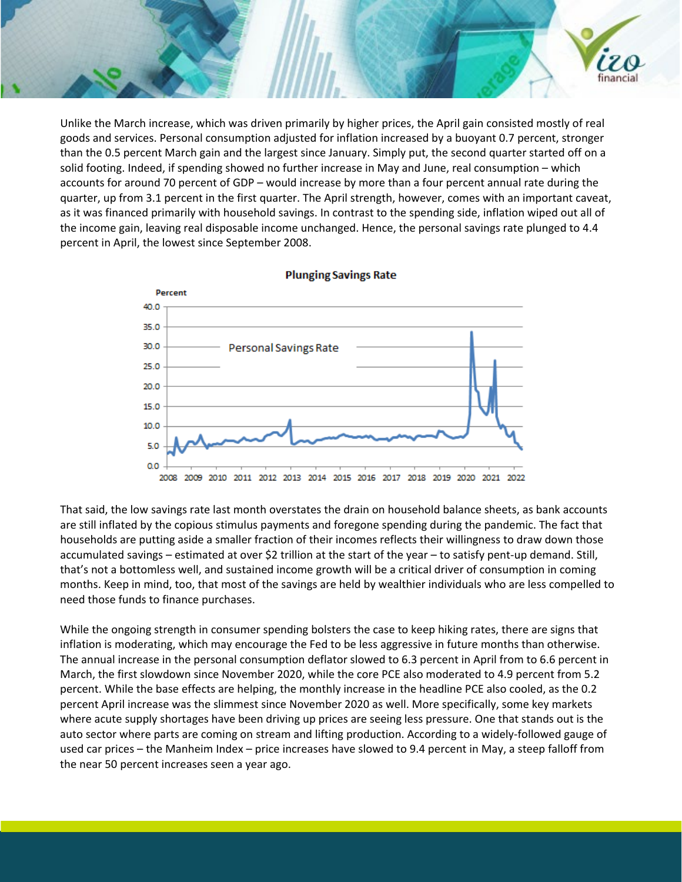Unlike the March increase, which was driven primarily by higher prices, the April gain consisted mostly of real goods and services. Personal consumption adjusted for inflation increased by a buoyant 0.7 percent, stronger than the 0.5 percent March gain and the largest since January. Simply put, the second quarter started off on a solid footing. Indeed, if spending showed no further increase in May and June, real consumption – which accounts for around 70 percent of GDP – would increase by more than a four percent annual rate during the quarter, up from 3.1 percent in the first quarter. The April strength, however, comes with an important caveat, as it was financed primarily with household savings. In contrast to the spending side, inflation wiped out all of the income gain, leaving real disposable income unchanged. Hence, the personal savings rate plunged to 4.4 percent in April, the lowest since September 2008.

financia



That said, the low savings rate last month overstates the drain on household balance sheets, as bank accounts are still inflated by the copious stimulus payments and foregone spending during the pandemic. The fact that households are putting aside a smaller fraction of their incomes reflects their willingness to draw down those accumulated savings – estimated at over \$2 trillion at the start of the year – to satisfy pent-up demand. Still, that's not a bottomless well, and sustained income growth will be a critical driver of consumption in coming months. Keep in mind, too, that most of the savings are held by wealthier individuals who are less compelled to need those funds to finance purchases.

While the ongoing strength in consumer spending bolsters the case to keep hiking rates, there are signs that inflation is moderating, which may encourage the Fed to be less aggressive in future months than otherwise. The annual increase in the personal consumption deflator slowed to 6.3 percent in April from to 6.6 percent in March, the first slowdown since November 2020, while the core PCE also moderated to 4.9 percent from 5.2 percent. While the base effects are helping, the monthly increase in the headline PCE also cooled, as the 0.2 percent April increase was the slimmest since November 2020 as well. More specifically, some key markets where acute supply shortages have been driving up prices are seeing less pressure. One that stands out is the auto sector where parts are coming on stream and lifting production. According to a widely-followed gauge of used car prices – the Manheim Index – price increases have slowed to 9.4 percent in May, a steep falloff from the near 50 percent increases seen a year ago.